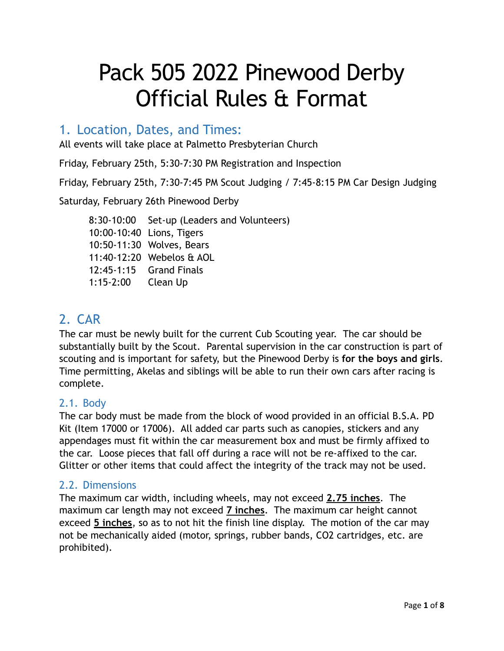# Pack 505 2022 Pinewood Derby Official Rules & Format

# 1. Location, Dates, and Times:

All events will take place at Palmetto Presbyterian Church

Friday, February 25th, 5:30-7:30 PM Registration and Inspection

Friday, February 25th, 7:30-7:45 PM Scout Judging / 7:45-8:15 PM Car Design Judging

Saturday, February 26th Pinewood Derby

8:30-10:00 Set-up (Leaders and Volunteers) 10:00-10:40 Lions, Tigers 10:50-11:30 Wolves, Bears 11:40-12:20 Webelos & AOL 12:45-1:15 Grand Finals 1:15-2:00 Clean Up

# 2. CAR

The car must be newly built for the current Cub Scouting year. The car should be substantially built by the Scout. Parental supervision in the car construction is part of scouting and is important for safety, but the Pinewood Derby is **for the boys and girls**. Time permitting, Akelas and siblings will be able to run their own cars after racing is complete.

## 2.1. Body

The car body must be made from the block of wood provided in an official B.S.A. PD Kit (Item 17000 or 17006). All added car parts such as canopies, stickers and any appendages must fit within the car measurement box and must be firmly affixed to the car. Loose pieces that fall off during a race will not be re-affixed to the car. Glitter or other items that could affect the integrity of the track may not be used.

## 2.2. Dimensions

The maximum car width, including wheels, may not exceed **2.75 inches**. The maximum car length may not exceed **7 inches**. The maximum car height cannot exceed **5 inches**, so as to not hit the finish line display. The motion of the car may not be mechanically aided (motor, springs, rubber bands, CO2 cartridges, etc. are prohibited).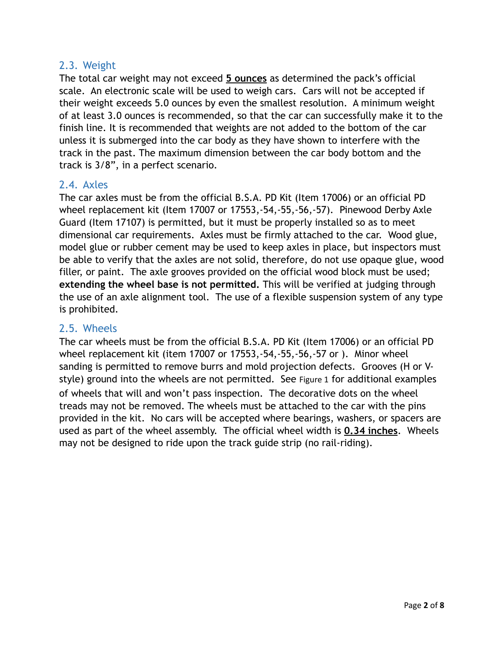#### 2.3. Weight

The total car weight may not exceed **5 ounces** as determined the pack's official scale. An electronic scale will be used to weigh cars. Cars will not be accepted if their weight exceeds 5.0 ounces by even the smallest resolution. A minimum weight of at least 3.0 ounces is recommended, so that the car can successfully make it to the finish line. It is recommended that weights are not added to the bottom of the car unless it is submerged into the car body as they have shown to interfere with the track in the past. The maximum dimension between the car body bottom and the track is 3/8", in a perfect scenario.

#### 2.4. Axles

The car axles must be from the official B.S.A. PD Kit (Item 17006) or an official PD wheel replacement kit (Item 17007 or 17553,-54,-55,-56,-57). Pinewood Derby Axle Guard (Item 17107) is permitted, but it must be properly installed so as to meet dimensional car requirements. Axles must be firmly attached to the car. Wood glue, model glue or rubber cement may be used to keep axles in place, but inspectors must be able to verify that the axles are not solid, therefore, do not use opaque glue, wood filler, or paint. The axle grooves provided on the official wood block must be used; **extending the wheel base is not permitted.** This will be verified at judging through the use of an axle alignment tool. The use of a flexible suspension system of any type is prohibited.

#### 2.5. Wheels

The car wheels must be from the official B.S.A. PD Kit (Item 17006) or an official PD wheel replacement kit (item 17007 or 17553,-54,-55,-56,-57 or ). Minor wheel sanding is permitted to remove burrs and mold projection defects. Grooves (H or Vstyle) ground into the wheels are not permitted. See [Figure 1](#page-2-0) for additional examples of wheels that will and won't pass inspection. The decorative dots on the wheel treads may not be removed. The wheels must be attached to the car with the pins provided in the kit. No cars will be accepted where bearings, washers, or spacers are used as part of the wheel assembly. The official wheel width is **0.34 inches**. Wheels may not be designed to ride upon the track guide strip (no rail-riding).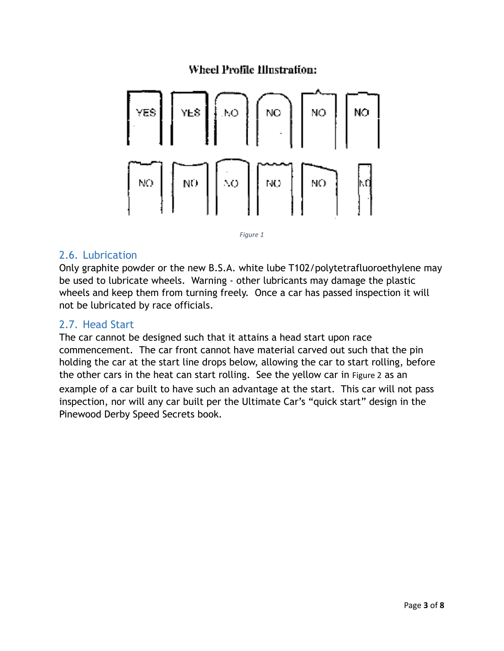## Wheel Profile Illustration:



<span id="page-2-0"></span>

#### 2.6. Lubrication

Only graphite powder or the new B.S.A. white lube T102/polytetrafluoroethylene may be used to lubricate wheels. Warning - other lubricants may damage the plastic wheels and keep them from turning freely. Once a car has passed inspection it will not be lubricated by race officials.

#### 2.7. Head Start

The car cannot be designed such that it attains a head start upon race commencement. The car front cannot have material carved out such that the pin holding the car at the start line drops below, allowing the car to start rolling, before the other cars in the heat can start rolling. See the yellow car in [Figure 2](#page-3-0) as an example of a car built to have such an advantage at the start. This car will not pass inspection, nor will any car built per the Ultimate Car's "quick start" design in the Pinewood Derby Speed Secrets book.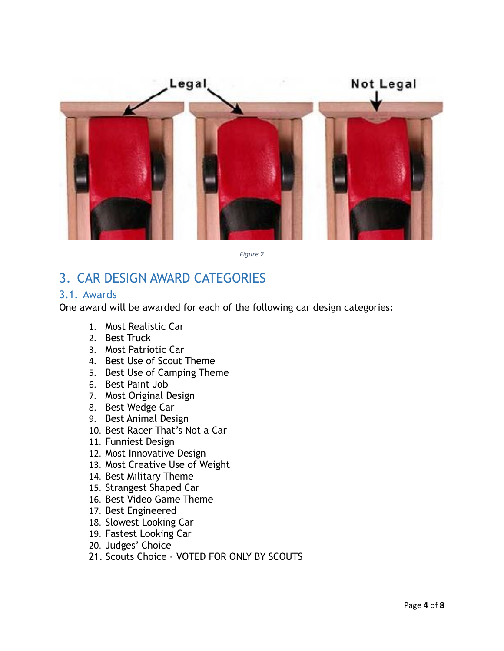

<span id="page-3-0"></span>*Figure 2* 

# 3. CAR DESIGN AWARD CATEGORIES

#### 3.1. Awards

One award will be awarded for each of the following car design categories:

- 1. Most Realistic Car
- 2. Best Truck
- 3. Most Patriotic Car
- 4. Best Use of Scout Theme
- 5. Best Use of Camping Theme
- 6. Best Paint Job
- 7. Most Original Design
- 8. Best Wedge Car
- 9. Best Animal Design
- 10. Best Racer That's Not a Car
- 11. Funniest Design
- 12. Most Innovative Design
- 13. Most Creative Use of Weight
- 14. Best Military Theme
- 15. Strangest Shaped Car
- 16. Best Video Game Theme
- 17. Best Engineered
- 18. Slowest Looking Car
- 19. Fastest Looking Car
- 20. Judges' Choice
- 21. Scouts Choice VOTED FOR ONLY BY SCOUTS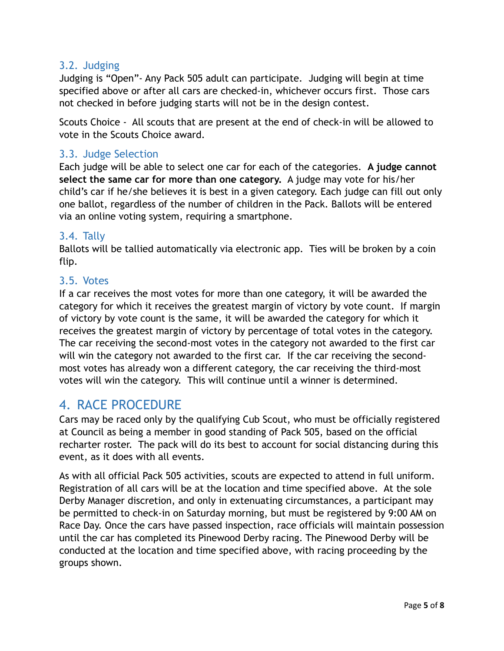### 3.2. Judging

Judging is "Open"- Any Pack 505 adult can participate. Judging will begin at time specified above or after all cars are checked-in, whichever occurs first. Those cars not checked in before judging starts will not be in the design contest.

Scouts Choice - All scouts that are present at the end of check-in will be allowed to vote in the Scouts Choice award.

#### 3.3. Judge Selection

Each judge will be able to select one car for each of the categories. **A judge cannot select the same car for more than one category.** A judge may vote for his/her child's car if he/she believes it is best in a given category. Each judge can fill out only one ballot, regardless of the number of children in the Pack. Ballots will be entered via an online voting system, requiring a smartphone.

#### 3.4. Tally

Ballots will be tallied automatically via electronic app. Ties will be broken by a coin flip.

#### 3.5. Votes

If a car receives the most votes for more than one category, it will be awarded the category for which it receives the greatest margin of victory by vote count. If margin of victory by vote count is the same, it will be awarded the category for which it receives the greatest margin of victory by percentage of total votes in the category. The car receiving the second-most votes in the category not awarded to the first car will win the category not awarded to the first car. If the car receiving the secondmost votes has already won a different category, the car receiving the third-most votes will win the category. This will continue until a winner is determined.

## 4. RACE PROCEDURE

Cars may be raced only by the qualifying Cub Scout, who must be officially registered at Council as being a member in good standing of Pack 505, based on the official recharter roster. The pack will do its best to account for social distancing during this event, as it does with all events.

As with all official Pack 505 activities, scouts are expected to attend in full uniform. Registration of all cars will be at the location and time specified above. At the sole Derby Manager discretion, and only in extenuating circumstances, a participant may be permitted to check-in on Saturday morning, but must be registered by 9:00 AM on Race Day. Once the cars have passed inspection, race officials will maintain possession until the car has completed its Pinewood Derby racing. The Pinewood Derby will be conducted at the location and time specified above, with racing proceeding by the groups shown.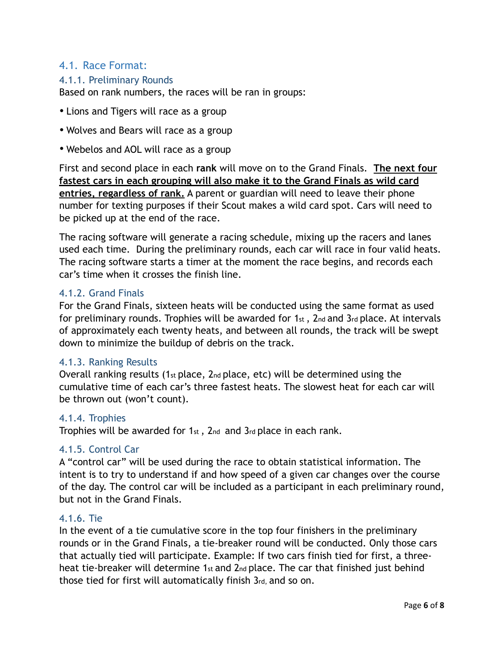### 4.1. Race Format:

#### 4.1.1. Preliminary Rounds

Based on rank numbers, the races will be ran in groups:

- Lions and Tigers will race as a group
- Wolves and Bears will race as a group
- Webelos and AOL will race as a group

First and second place in each **rank** will move on to the Grand Finals. **The next four fastest cars in each grouping will also make it to the Grand Finals as wild card entries, regardless of rank.** A parent or guardian will need to leave their phone number for texting purposes if their Scout makes a wild card spot. Cars will need to be picked up at the end of the race.

The racing software will generate a racing schedule, mixing up the racers and lanes used each time. During the preliminary rounds, each car will race in four valid heats. The racing software starts a timer at the moment the race begins, and records each car's time when it crosses the finish line.

#### 4.1.2. Grand Finals

For the Grand Finals, sixteen heats will be conducted using the same format as used for preliminary rounds. Trophies will be awarded for 1st, 2nd and 3rd place. At intervals of approximately each twenty heats, and between all rounds, the track will be swept down to minimize the buildup of debris on the track.

#### 4.1.3. Ranking Results

Overall ranking results (1st place,  $2nd$  place, etc) will be determined using the cumulative time of each car's three fastest heats. The slowest heat for each car will be thrown out (won't count).

#### 4.1.4. Trophies

Trophies will be awarded for 1st , 2nd and 3rd place in each rank.

#### 4.1.5. Control Car

A "control car" will be used during the race to obtain statistical information. The intent is to try to understand if and how speed of a given car changes over the course of the day. The control car will be included as a participant in each preliminary round, but not in the Grand Finals.

#### 4.1.6. Tie

In the event of a tie cumulative score in the top four finishers in the preliminary rounds or in the Grand Finals, a tie-breaker round will be conducted. Only those cars that actually tied will participate. Example: If two cars finish tied for first, a threeheat tie-breaker will determine 1st and 2nd place. The car that finished just behind those tied for first will automatically finish 3rd, and so on.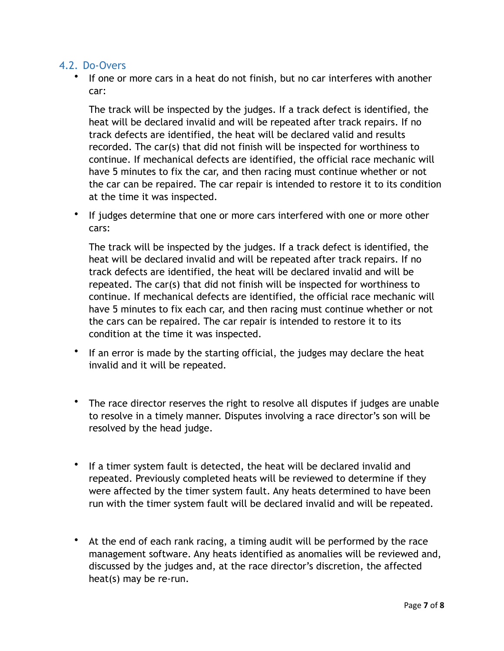#### 4.2. Do-Overs

• If one or more cars in a heat do not finish, but no car interferes with another car:

The track will be inspected by the judges. If a track defect is identified, the heat will be declared invalid and will be repeated after track repairs. If no track defects are identified, the heat will be declared valid and results recorded. The car(s) that did not finish will be inspected for worthiness to continue. If mechanical defects are identified, the official race mechanic will have 5 minutes to fix the car, and then racing must continue whether or not the car can be repaired. The car repair is intended to restore it to its condition at the time it was inspected.

• If judges determine that one or more cars interfered with one or more other cars:

The track will be inspected by the judges. If a track defect is identified, the heat will be declared invalid and will be repeated after track repairs. If no track defects are identified, the heat will be declared invalid and will be repeated. The car(s) that did not finish will be inspected for worthiness to continue. If mechanical defects are identified, the official race mechanic will have 5 minutes to fix each car, and then racing must continue whether or not the cars can be repaired. The car repair is intended to restore it to its condition at the time it was inspected.

- If an error is made by the starting official, the judges may declare the heat invalid and it will be repeated.
- The race director reserves the right to resolve all disputes if judges are unable to resolve in a timely manner. Disputes involving a race director's son will be resolved by the head judge.
- If a timer system fault is detected, the heat will be declared invalid and repeated. Previously completed heats will be reviewed to determine if they were affected by the timer system fault. Any heats determined to have been run with the timer system fault will be declared invalid and will be repeated.
- At the end of each rank racing, a timing audit will be performed by the race management software. Any heats identified as anomalies will be reviewed and, discussed by the judges and, at the race director's discretion, the affected heat(s) may be re-run.